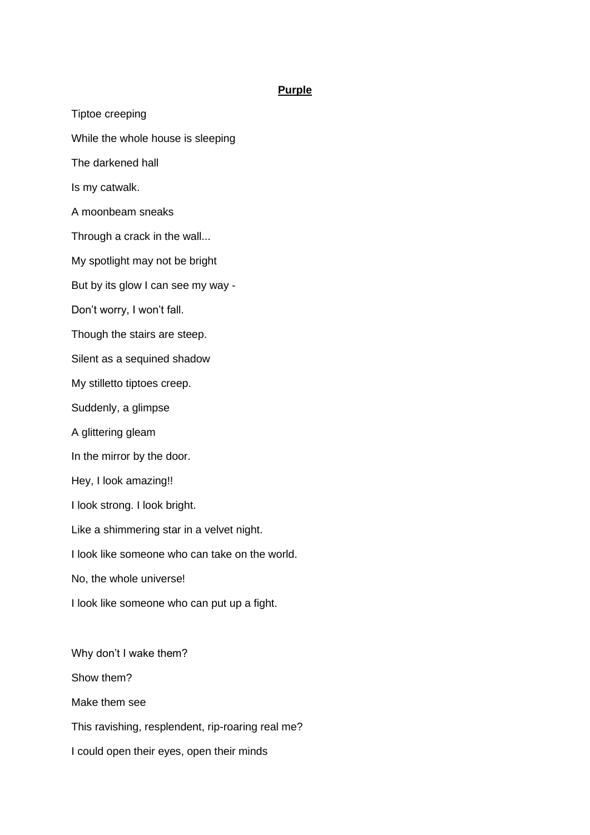## **Purple**

Tiptoe creeping While the whole house is sleeping The darkened hall Is my catwalk. A moonbeam sneaks Through a crack in the wall... My spotlight may not be bright But by its glow I can see my way - Don't worry, I won't fall. Though the stairs are steep. Silent as a sequined shadow My stilletto tiptoes creep. Suddenly, a glimpse A glittering gleam In the mirror by the door. Hey, I look amazing!! I look strong. I look bright. Like a shimmering star in a velvet night. I look like someone who can take on the world. No, the whole universe! I look like someone who can put up a fight. Why don't I wake them? Show them? Make them see This ravishing, resplendent, rip-roaring real me? I could open their eyes, open their minds